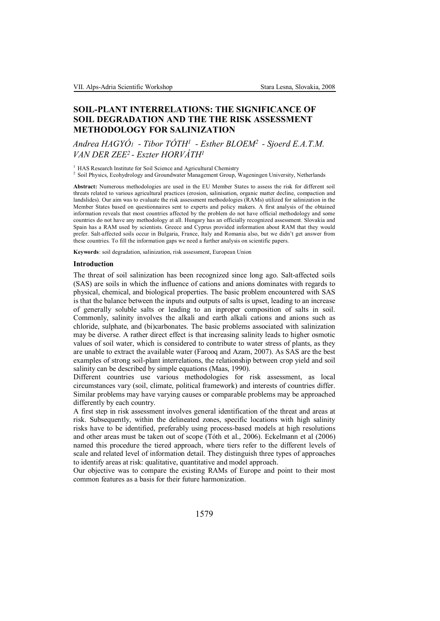# **SOIL-PLANT INTERRELATIONS: THE SIGNIFICANCE OF SOIL DEGRADATION AND THE THE RISK ASSESSMENT METHODOLOGY FOR SALINIZATION**

Andrea HAGYÓ1 - Tibor TÓTH<sup>1</sup> - Esther BLOEM<sup>2</sup> - Sjoerd E.A.T.M. *HORVÁTH<sup>1</sup> VAN DER ZEE<sup>2</sup> - Eszter HORVÁTH1*

<sup>1</sup> HAS Research Institute for Soil Science and Agricultural Chemistry

<sup>2</sup> Soil Physics, Ecohydrology and Groundwater Management Group, Wageningen University, Netherlands

**Abstract:** Numerous methodologies are used in the EU Member States to assess the risk for different soil threats related to various agricultural practices (erosion, salinisation, organic matter decline, compaction and landslides). Our aim was to evaluate the risk assessment methodologies (RAMs) utilized for salinization in the Member States based on questionnaires sent to experts and policy makers. A first analysis of the obtained information reveals that most countries affected by the problem do not have official methodology and some countries do not have any methodology at all. Hungary has an officially recognized assessment. Slovakia and Spain has a RAM used by scientists. Greece and Cyprus provided information about RAM that they would prefer. Salt-affected soils occur in Bulgaria, France, Italy and Romania also, but we didn't get answer from these countries. To fill the information gaps we need a further analysis on scientific papers.

**Keywords**: soil degradation, salinization, risk assessment, European Union

#### **Introduction**

The threat of soil salinization has been recognized since long ago. Salt-affected soils (SAS) are soils in which the influence of cations and anions dominates with regards to physical, chemical, and biological properties. The basic problem encountered with SAS is that the balance between the inputs and outputs of salts is upset, leading to an increase of generally soluble salts or leading to an inproper composition of salts in soil. Commonly, salinity involves the alkali and earth alkali cations and anions such as chloride, sulphate, and (bi)carbonates. The basic problems associated with salinization may be diverse. A rather direct effect is that increasing salinity leads to higher osmotic values of soil water, which is considered to contribute to water stress of plants, as they are unable to extract the available water (Farooq and Azam, 2007). As SAS are the best examples of strong soil-plant interrelations, the relationship between crop yield and soil salinity can be described by simple equations (Maas, 1990).

Different countries use various methodologies for risk assessment, as local circumstances vary (soil, climate, political framework) and interests of countries differ. Similar problems may have varying causes or comparable problems may be approached differently by each country.

A first step in risk assessment involves general identification of the threat and areas at risk. Subsequently, within the delineated zones, specific locations with high salinity risks have to be identified, preferably using process-based models at high resolutions and other areas must be taken out of scope (Tóth et al., 2006). Eckelmann et al (2006) named this procedure the tiered approach, where tiers refer to the different levels of scale and related level of information detail. They distinguish three types of approaches to identify areas at risk: qualitative, quantitative and model approach.

Our objective was to compare the existing RAMs of Europe and point to their most common features as a basis for their future harmonization.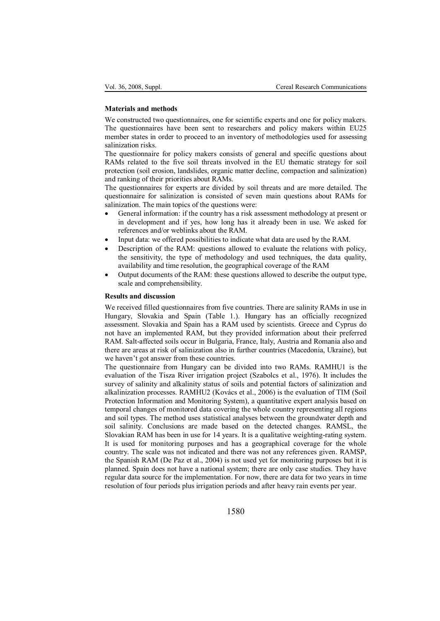## **Materials and methods**

We constructed two questionnaires, one for scientific experts and one for policy makers. The questionnaires have been sent to researchers and policy makers within EU25 member states in order to proceed to an inventory of methodologies used for assessing salinization risks.

The questionnaire for policy makers consists of general and specific questions about RAMs related to the five soil threats involved in the EU thematic strategy for soil protection (soil erosion, landslides, organic matter decline, compaction and salinization) and ranking of their priorities about RAMs.

The questionnaires for experts are divided by soil threats and are more detailed. The questionnaire for salinization is consisted of seven main questions about RAMs for salinization. The main topics of the questions were:

- General information: if the country has a risk assessment methodology at present or in development and if yes, how long has it already been in use. We asked for references and/or weblinks about the RAM.
- Input data: we offered possibilities to indicate what data are used by the RAM.
- Description of the RAM: questions allowed to evaluate the relations with policy, the sensitivity, the type of methodology and used techniques, the data quality, availability and time resolution, the geographical coverage of the RAM
- Output documents of the RAM: these questions allowed to describe the output type, scale and comprehensibility.

## **Results and discussion**

We received filled questionnaires from five countries. There are salinity RAMs in use in Hungary, Slovakia and Spain (Table 1.). Hungary has an officially recognized assessment. Slovakia and Spain has a RAM used by scientists. Greece and Cyprus do not have an implemented RAM, but they provided information about their preferred RAM. Salt-affected soils occur in Bulgaria, France, Italy, Austria and Romania also and there are areas at risk of salinization also in further countries (Macedonia, Ukraine), but we haven't got answer from these countries.

The questionnaire from Hungary can be divided into two RAMs. RAMHU1 is the evaluation of the Tisza River irrigation project (Szabolcs et al., 1976). It includes the survey of salinity and alkalinity status of soils and potential factors of salinization and alkalinization processes. RAMHU2 (Kovács et al., 2006) is the evaluation of TIM (Soil Protection Information and Monitoring System), a quantitative expert analysis based on temporal changes of monitored data covering the whole country representing all regions and soil types. The method uses statistical analyses between the groundwater depth and soil salinity. Conclusions are made based on the detected changes. RAMSL, the Slovakian RAM has been in use for 14 years. It is a qualitative weighting-rating system. It is used for monitoring purposes and has a geographical coverage for the whole country. The scale was not indicated and there was not any references given. RAMSP, the Spanish RAM (De Paz et al., 2004) is not used yet for monitoring purposes but it is planned. Spain does not have a national system; there are only case studies. They have regular data source for the implementation. For now, there are data for two years in time resolution of four periods plus irrigation periods and after heavy rain events per year.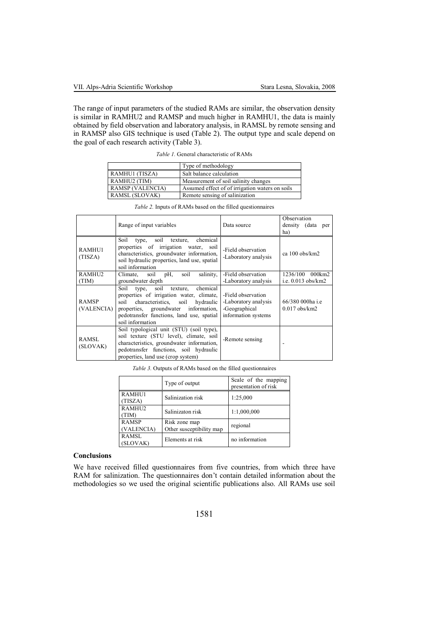The range of input parameters of the studied RAMs are similar, the observation density is similar in RAMHU2 and RAMSP and much higher in RAMHU1, the data is mainly obtained by field observation and laboratory analysis, in RAMSL by remote sensing and in RAMSP also GIS technique is used (Table 2). The output type and scale depend on the goal of each research activity (Table 3).

*Table 1.* General characteristic of RAMs

|                  | Type of methodology                             |
|------------------|-------------------------------------------------|
| RAMHU1 (TISZA)   | Salt balance calculation                        |
| RAMHU2 (TIM)     | Measurement of soil salinity changes            |
| RAMSP (VALENCIA) | Assumed effect of of irrigation waters on soils |
| RAMSL (SLOVAK)   | Remote sensing of salinization                  |

|                            | Range of input variables                                                                                                                                                                                                                      | Data source                                                                        | Observation<br>density (data<br>per<br>ha) |
|----------------------------|-----------------------------------------------------------------------------------------------------------------------------------------------------------------------------------------------------------------------------------------------|------------------------------------------------------------------------------------|--------------------------------------------|
| RAMHU1<br>(TISZA)          | Soil<br>soil texture, chemical<br>type.<br>properties of irrigation water, soil<br>characteristics, groundwater information,<br>soil hydraulic properties, land use, spatial<br>soil information                                              | -Field observation<br>-Laboratory analysis                                         | ca 100 obs/km2                             |
| RAMHU2<br>(TIM)            | salinity,<br>Climate,<br>soil<br>pH,<br>soil<br>groundwater depth                                                                                                                                                                             | -Field observation<br>-Laboratory analysis                                         | 1236/100<br>000km2<br>i.e. $0.013$ obs/km2 |
| <b>RAMSP</b><br>(VALENCIA) | chemical<br>Soil<br>soil<br>texture.<br>type.<br>properties of irrigation water, climate,<br>soil<br>characteristics, soil hydraulic<br>properties, groundwater information,<br>pedotransfer functions, land use, spatial<br>soil information | -Field observation<br>-Laboratory analysis<br>-Geographical<br>information systems | 66/380 000ha i.e<br>$0.017$ obs/km2        |
| RAMSL<br>(SLOVAK)          | Soil typological unit (STU) (soil type),<br>soil texture (STU level), climate, soil<br>characteristics, groundwater information,<br>pedotransfer functions, soil hydraulic<br>properties, land use (crop system)                              | -Remote sensing                                                                    |                                            |

*Table 2.* Inputs of RAMs based on the filled questionnaires

*Table 3.* Outputs of RAMs based on the filled questionnaires

|                             | Type of output                            | Scale of the mapping<br>presentation of risk |
|-----------------------------|-------------------------------------------|----------------------------------------------|
| <b>RAMHU1</b><br>(TISZA)    | Salinization risk                         | 1:25,000                                     |
| RAMHU <sub>2</sub><br>(TIM) | Salinizaton risk                          | 1:1,000,000                                  |
| <b>RAMSP</b><br>(VALENCIA)  | Risk zone map<br>Other susceptibility map | regional                                     |
| <b>RAMSL</b><br>(SLOVAK)    | Elements at risk                          | no information                               |

## **Conclusions**

We have received filled questionnaires from five countries, from which three have RAM for salinization. The questionnaires don't contain detailed information about the methodologies so we used the original scientific publications also. All RAMs use soil